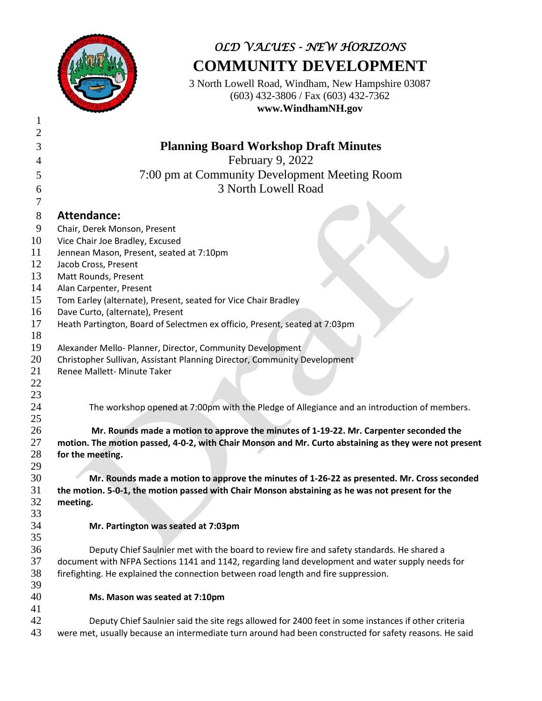

## *OLD VALUES - NEW HORIZONS* **COMMUNITY DEVELOPMENT**

3 North Lowell Road, Windham, New Hampshire 03087 (603) 432-3806 / Fax (603) 432-7362 **www.WindhamNH.gov**

| $\mathfrak{2}$ |                                                                                                        |
|----------------|--------------------------------------------------------------------------------------------------------|
| 3              | <b>Planning Board Workshop Draft Minutes</b>                                                           |
| 4              | February 9, 2022                                                                                       |
| 5              | 7:00 pm at Community Development Meeting Room                                                          |
| 6              | 3 North Lowell Road                                                                                    |
| 7              |                                                                                                        |
| 8              | <b>Attendance:</b>                                                                                     |
| 9              | Chair, Derek Monson, Present                                                                           |
| 10             | Vice Chair Joe Bradley, Excused                                                                        |
| 11             | Jennean Mason, Present, seated at 7:10pm                                                               |
| 12             | Jacob Cross, Present                                                                                   |
| 13             | Matt Rounds, Present                                                                                   |
| 14             | Alan Carpenter, Present                                                                                |
| 15             | Tom Earley (alternate), Present, seated for Vice Chair Bradley                                         |
| 16             | Dave Curto, (alternate), Present                                                                       |
| 17             | Heath Partington, Board of Selectmen ex officio, Present, seated at 7:03pm                             |
| 18             |                                                                                                        |
| 19             | Alexander Mello- Planner, Director, Community Development                                              |
| 20             | Christopher Sullivan, Assistant Planning Director, Community Development                               |
| 21             | Renee Mallett- Minute Taker                                                                            |
| 22             |                                                                                                        |
| 23             |                                                                                                        |
| 24             | The workshop opened at 7:00pm with the Pledge of Allegiance and an introduction of members.            |
| 25             |                                                                                                        |
| 26             | Mr. Rounds made a motion to approve the minutes of 1-19-22. Mr. Carpenter seconded the                 |
| 27             | motion. The motion passed, 4-0-2, with Chair Monson and Mr. Curto abstaining as they were not present  |
| 28             | for the meeting.                                                                                       |
| 29             |                                                                                                        |
| 30             | Mr. Rounds made a motion to approve the minutes of 1-26-22 as presented. Mr. Cross seconded            |
| 31             | the motion. 5-0-1, the motion passed with Chair Monson abstaining as he was not present for the        |
| 32             | meeting.                                                                                               |
| 33             |                                                                                                        |
| 34             | Mr. Partington was seated at 7:03pm                                                                    |
| 35<br>36       | Deputy Chief Saulnier met with the board to review fire and safety standards. He shared a              |
| 37             | document with NFPA Sections 1141 and 1142, regarding land development and water supply needs for       |
| 38             | firefighting. He explained the connection between road length and fire suppression.                    |
| 39             |                                                                                                        |
| 40             | Ms. Mason was seated at 7:10pm                                                                         |
| 41             |                                                                                                        |
| 42             | Deputy Chief Saulnier said the site regs allowed for 2400 feet in some instances if other criteria     |
| 43             | were met, usually because an intermediate turn around had been constructed for safety reasons. He said |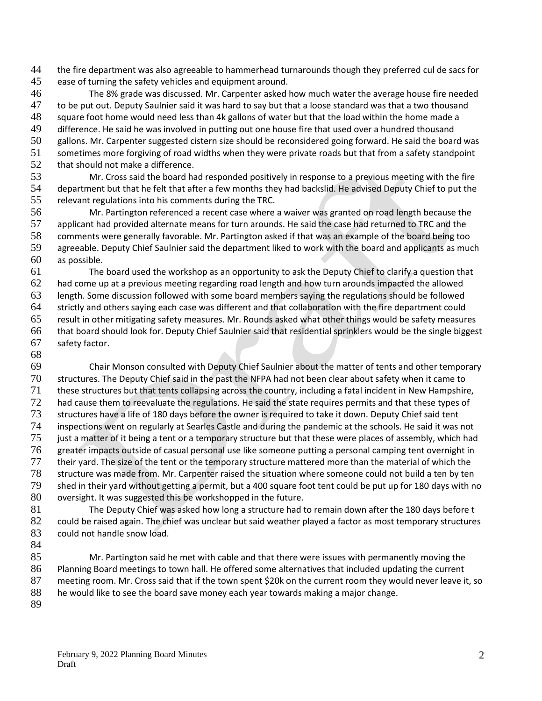the fire department was also agreeable to hammerhead turnarounds though they preferred cul de sacs for

- ease of turning the safety vehicles and equipment around.
- The 8% grade was discussed. Mr. Carpenter asked how much water the average house fire needed 47 to be put out. Deputy Saulnier said it was hard to say but that a loose standard was that a two thousand<br>48 square foot home would need less than 4k gallons of water but that the load within the home made a square foot home would need less than 4k gallons of water but that the load within the home made a difference. He said he was involved in putting out one house fire that used over a hundred thousand gallons. Mr. Carpenter suggested cistern size should be reconsidered going forward. He said the board was
- sometimes more forgiving of road widths when they were private roads but that from a safety standpoint
- 52 that should not make a difference.
- Mr. Cross said the board had responded positively in response to a previous meeting with the fire department but that he felt that after a few months they had backslid. He advised Deputy Chief to put the relevant regulations into his comments during the TRC.
- Mr. Partington referenced a recent case where a waiver was granted on road length because the applicant had provided alternate means for turn arounds. He said the case had returned to TRC and the comments were generally favorable. Mr. Partington asked if that was an example of the board being too agreeable. Deputy Chief Saulnier said the department liked to work with the board and applicants as much as possible.
- The board used the workshop as an opportunity to ask the Deputy Chief to clarify a question that had come up at a previous meeting regarding road length and how turn arounds impacted the allowed length. Some discussion followed with some board members saying the regulations should be followed strictly and others saying each case was different and that collaboration with the fire department could result in other mitigating safety measures. Mr. Rounds asked what other things would be safety measures that board should look for. Deputy Chief Saulnier said that residential sprinklers would be the single biggest safety factor.
- 

 Chair Monson consulted with Deputy Chief Saulnier about the matter of tents and other temporary structures. The Deputy Chief said in the past the NFPA had not been clear about safety when it came to these structures but that tents collapsing across the country, including a fatal incident in New Hampshire, 72 had cause them to reevaluate the regulations. He said the state requires permits and that these types of structures have a life of 180 days before the owner is required to take it down. Deputy Chief said tent inspections went on regularly at Searles Castle and during the pandemic at the schools. He said it was not 75 just a matter of it being a tent or a temporary structure but that these were places of assembly, which had greater impacts outside of casual personal use like someone putting a personal camping tent overnight in their yard. The size of the tent or the temporary structure mattered more than the material of which the structure was made from. Mr. Carpenter raised the situation where someone could not build a ten by ten shed in their yard without getting a permit, but a 400 square foot tent could be put up for 180 days with no oversight. It was suggested this be workshopped in the future.

- The Deputy Chief was asked how long a structure had to remain down after the 180 days before t 82 could be raised again. The chief was unclear but said weather played a factor as most temporary structures 83 could not handle snow load.
- 

85 Mr. Partington said he met with cable and that there were issues with permanently moving the Planning Board meetings to town hall. He offered some alternatives that included updating the current meeting room. Mr. Cross said that if the town spent \$20k on the current room they would never leave it, so he would like to see the board save money each year towards making a major change.